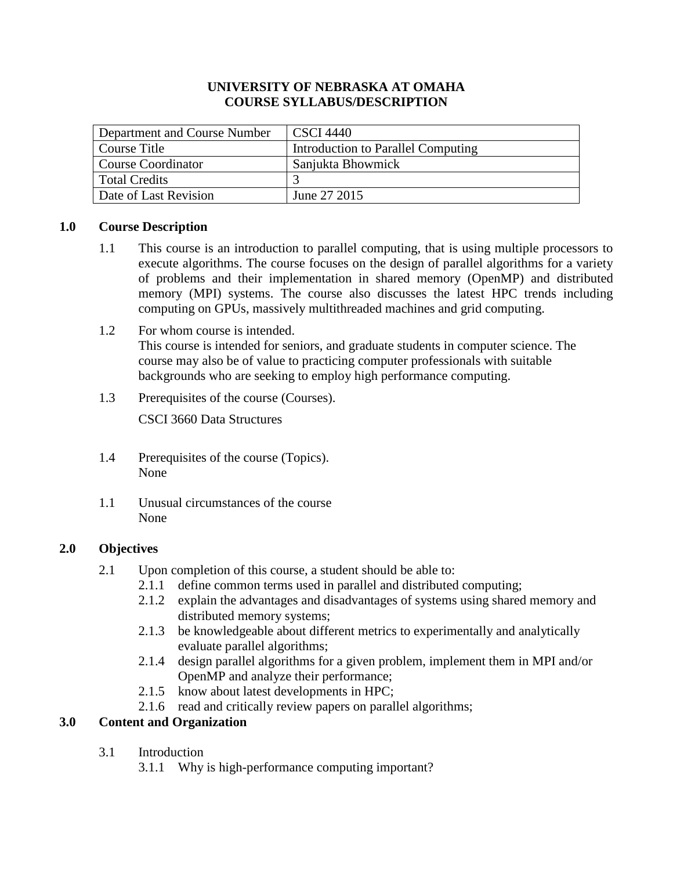### **UNIVERSITY OF NEBRASKA AT OMAHA COURSE SYLLABUS/DESCRIPTION**

| Department and Course Number | <b>CSCI</b> 4440                   |
|------------------------------|------------------------------------|
| Course Title                 | Introduction to Parallel Computing |
| Course Coordinator           | Sanjukta Bhowmick                  |
| l Total Credits              |                                    |
| Date of Last Revision        | June 27 2015                       |

# **1.0 Course Description**

- 1.1 This course is an introduction to parallel computing, that is using multiple processors to execute algorithms. The course focuses on the design of parallel algorithms for a variety of problems and their implementation in shared memory (OpenMP) and distributed memory (MPI) systems. The course also discusses the latest HPC trends including computing on GPUs, massively multithreaded machines and grid computing.
- 1.2 For whom course is intended. This course is intended for seniors, and graduate students in computer science. The course may also be of value to practicing computer professionals with suitable backgrounds who are seeking to employ high performance computing.
- 1.3 Prerequisites of the course (Courses).

CSCI 3660 Data Structures

- 1.4 Prerequisites of the course (Topics). None
- 1.1 Unusual circumstances of the course None

# **2.0 Objectives**

- 2.1 Upon completion of this course, a student should be able to:
	- 2.1.1 define common terms used in parallel and distributed computing;
	- 2.1.2 explain the advantages and disadvantages of systems using shared memory and distributed memory systems;
	- 2.1.3 be knowledgeable about different metrics to experimentally and analytically evaluate parallel algorithms;
	- 2.1.4 design parallel algorithms for a given problem, implement them in MPI and/or OpenMP and analyze their performance;
	- 2.1.5 know about latest developments in HPC;
	- 2.1.6 read and critically review papers on parallel algorithms;

# **3.0 Content and Organization**

- 3.1 Introduction
	- 3.1.1 Why is high-performance computing important?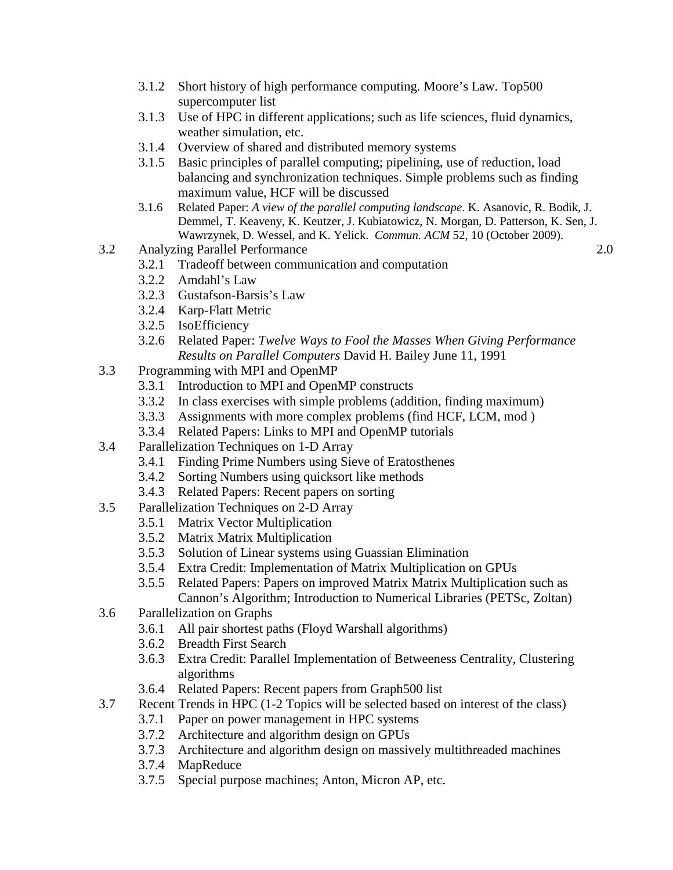- 3.1.2 Short history of high performance computing. Moore's Law. Top500 supercomputer list
- 3.1.3 Use of HPC in different applications; such as life sciences, fluid dynamics, weather simulation, etc.
- 3.1.4 Overview of shared and distributed memory systems
- 3.1.5 Basic principles of parallel computing; pipelining, use of reduction, load balancing and synchronization techniques. Simple problems such as finding maximum value, HCF will be discussed
- 3.1.6 Related Paper: *A view of the parallel computing landscape*. K. Asanovic, R. Bodik, J. Demmel, T. Keaveny, K. Keutzer, J. Kubiatowicz, N. Morgan, D. Patterson, K. Sen, J. Wawrzynek, D. Wessel, and K. Yelick. *Commun. ACM* 52, 10 (October 2009).
- 3.2 Analyzing Parallel Performance 2.0
	- 3.2.1 Tradeoff between communication and computation
	- 3.2.2 Amdahl's Law
	- 3.2.3 Gustafson-Barsis's Law
	- 3.2.4 Karp-Flatt Metric
	- 3.2.5 IsoEfficiency
	- 3.2.6 Related Paper: *Twelve Ways to Fool the Masses When Giving Performance Results on Parallel Computers* David H. Bailey June 11, 1991
- 3.3 Programming with MPI and OpenMP
	- 3.3.1 Introduction to MPI and OpenMP constructs
	- 3.3.2 In class exercises with simple problems (addition, finding maximum)
	- 3.3.3 Assignments with more complex problems (find HCF, LCM, mod )
	- 3.3.4 Related Papers: Links to MPI and OpenMP tutorials
- 3.4 Parallelization Techniques on 1-D Array
	- 3.4.1 Finding Prime Numbers using Sieve of Eratosthenes
	- 3.4.2 Sorting Numbers using quicksort like methods
	- 3.4.3 Related Papers: Recent papers on sorting
- 3.5 Parallelization Techniques on 2-D Array
	- 3.5.1 Matrix Vector Multiplication
	- 3.5.2 Matrix Matrix Multiplication
	- 3.5.3 Solution of Linear systems using Guassian Elimination
	- 3.5.4 Extra Credit: Implementation of Matrix Multiplication on GPUs
	- 3.5.5 Related Papers: Papers on improved Matrix Matrix Multiplication such as Cannon's Algorithm; Introduction to Numerical Libraries (PETSc, Zoltan)
- 3.6 Parallelization on Graphs
	- 3.6.1 All pair shortest paths (Floyd Warshall algorithms)
	- 3.6.2 Breadth First Search
	- 3.6.3 Extra Credit: Parallel Implementation of Betweeness Centrality, Clustering algorithms
	- 3.6.4 Related Papers: Recent papers from Graph500 list
- 3.7 Recent Trends in HPC (1-2 Topics will be selected based on interest of the class)
	- 3.7.1 Paper on power management in HPC systems
	- 3.7.2 Architecture and algorithm design on GPUs
	- 3.7.3 Architecture and algorithm design on massively multithreaded machines
	- 3.7.4 MapReduce
	- 3.7.5 Special purpose machines; Anton, Micron AP, etc.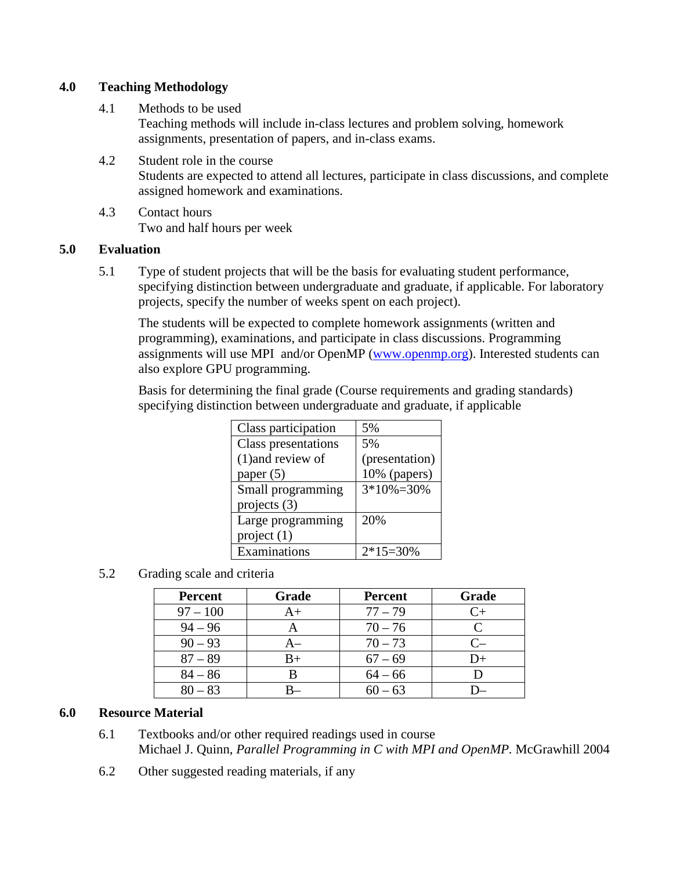# **4.0 Teaching Methodology**

4.1 Methods to be used

Teaching methods will include in-class lectures and problem solving, homework assignments, presentation of papers, and in-class exams.

- 4.2 Student role in the course Students are expected to attend all lectures, participate in class discussions, and complete assigned homework and examinations.
- 4.3 Contact hours Two and half hours per week

### **5.0 Evaluation**

5.1 Type of student projects that will be the basis for evaluating student performance, specifying distinction between undergraduate and graduate, if applicable. For laboratory projects, specify the number of weeks spent on each project).

The students will be expected to complete homework assignments (written and programming), examinations, and participate in class discussions. Programming assignments will use MPI and/or OpenMP [\(www.openmp.org\)](http://www.openmp.org/). Interested students can also explore GPU programming.

Basis for determining the final grade (Course requirements and grading standards) specifying distinction between undergraduate and graduate, if applicable

| Class participation | 5%              |
|---------------------|-----------------|
| Class presentations | 5%              |
| $(1)$ and review of | (presentation)  |
| paper $(5)$         | 10% (papers)    |
| Small programming   | $3*10\% = 30\%$ |
| projects (3)        |                 |
| Large programming   | 20%             |
| project $(1)$       |                 |
| Examinations        | $2*15=30%$      |

# 5.2 Grading scale and criteria

| <b>Percent</b> | Grade       | Percent   | Grade |
|----------------|-------------|-----------|-------|
| $97 - 100$     | $A+$        | $77 - 79$ |       |
| $94 - 96$      |             | $70 - 76$ |       |
| $90 - 93$      | A–          | $70 - 73$ |       |
| $87 - 89$      | $_{\rm B+}$ | $67 - 69$ | $D+$  |
| $84 - 86$      |             | $64 - 66$ |       |
| $80 - 83$      |             | $60 - 63$ |       |

# **6.0 Resource Material**

- 6.1 Textbooks and/or other required readings used in course Michael J. Quinn, *Parallel Programming in C with MPI and OpenMP.* McGrawhill 2004
- 6.2 Other suggested reading materials, if any